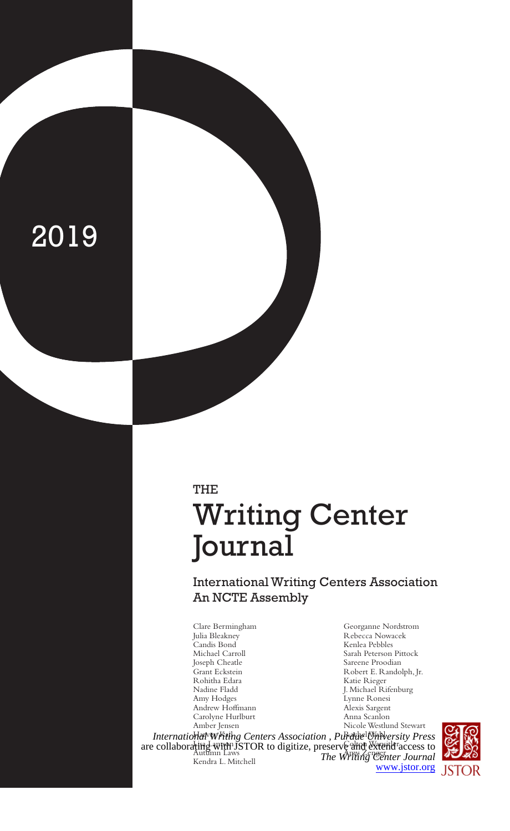# 2019

# THE Writing Center Journal

International Writing Centers Association An NCTE Assembly

Clare Bermingham Julia Bleakney Candis Bond Michael Carroll Joseph Cheatle Grant Eckstein Rohitha Edara Nadine Fladd Amy Hodges Andrew Hoffmann Carolyne Hurlburt Amber Jensen

Georganne Nordstrom Rebecca Nowacek Kenlea Pebbles Sarah Peterson Pittock Sareene Proodian Robert E. Randolph, Jr. Katie Rieger J. Michael Rifenburg Lynne Ronesi Alexis Sargent Anna Scanlon Nicole Westlund Stewart

International Whithg Centers Association, Purdue University Press are collaborating with JSTOR to digitize, preserve ain *National Collaboration* Laws Kendra L. Mitchell *The Writing Center Journal* [www.jstor.org](https://www.jstor.org)

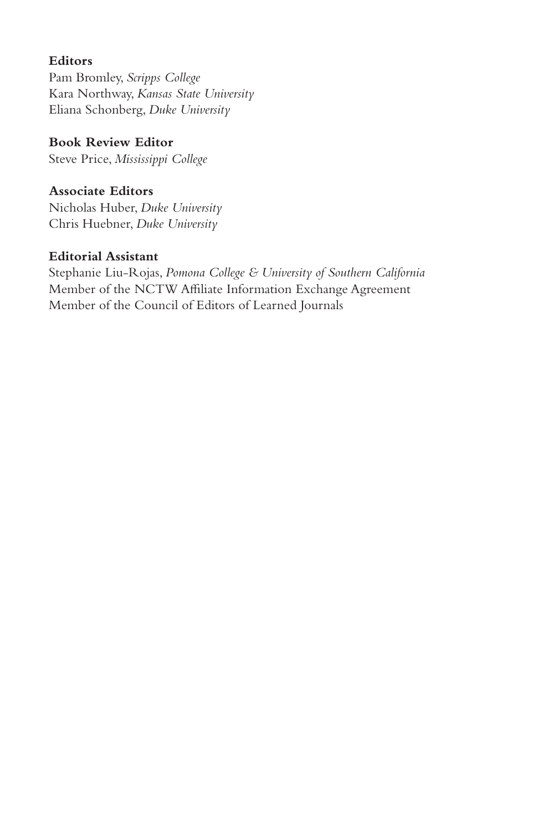# **Editors**

Pam Bromley, *Scripps College* Kara Northway, *Kansas State University* Eliana Schonberg, *Duke University*

**Book Review Editor** Steve Price, *Mississippi College*

**Associate Editors** Nicholas Huber, *Duke University*

Chris Huebner, *Duke University*

## **Editorial Assistant**

Stephanie Liu-Rojas, *Pomona College & University of Southern California* Member of the NCTW Affiliate Information Exchange Agreement Member of the Council of Editors of Learned Journals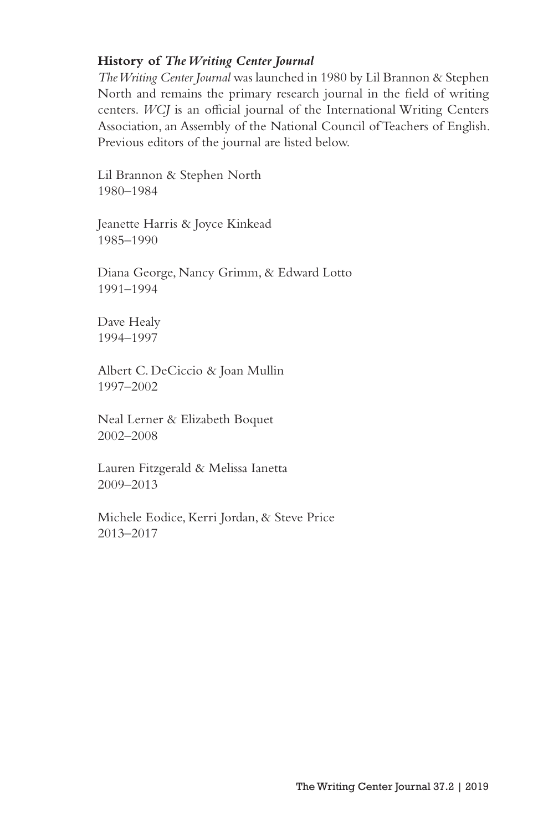#### **History of** *The Writing Center Journal*

*The Writing Center Journal* was launched in 1980 by Lil Brannon & Stephen North and remains the primary research journal in the field of writing centers. *WCJ* is an official journal of the International Writing Centers Association, an Assembly of the National Council of Teachers of English. Previous editors of the journal are listed below.

Lil Brannon & Stephen North 1980–1984

Jeanette Harris & Joyce Kinkead 1985–1990

Diana George, Nancy Grimm, & Edward Lotto 1991–1994

Dave Healy 1994–1997

Albert C. DeCiccio & Joan Mullin 1997–2002

Neal Lerner & Elizabeth Boquet 2002–2008

Lauren Fitzgerald & Melissa Ianetta 2009–2013

Michele Eodice, Kerri Jordan, & Steve Price 2013–2017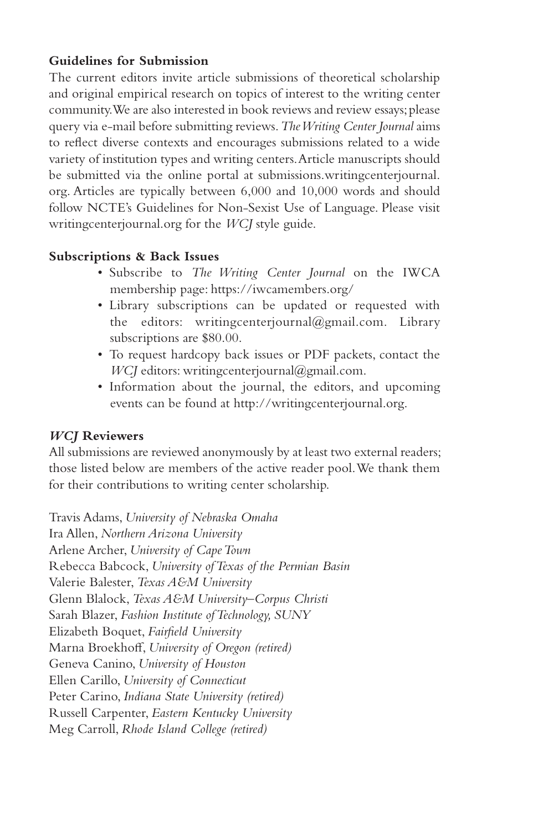## **Guidelines for Submission**

The current editors invite article submissions of theoretical scholarship and original empirical research on topics of interest to the writing center community. We are also interested in book reviews and review essays; please query via e-mail before submitting reviews. *The Writing Center Journal* aims to reflect diverse contexts and encourages submissions related to a wide variety of institution types and writing centers. Article manuscripts should be submitted via the online portal at submissions.writingcenterjournal. org. Articles are typically between 6,000 and 10,000 words and should follow NCTE's Guidelines for Non-Sexist Use of Language. Please visit writingcenterjournal.org for the *WCJ* style guide.

## **Subscriptions & Back Issues**

- Subscribe to *The Writing Center Journal* on the IWCA membership page: https://iwcamembers.org/
- Library subscriptions can be updated or requested with the editors: writingcenterjournal@gmail.com. Library subscriptions are \$80.00.
- To request hardcopy back issues or PDF packets, contact the *WCJ* editors: writingcenterjournal@gmail.com.
- Information about the journal, the editors, and upcoming events can be found at http://writingcenterjournal.org.

#### *WCJ* **Reviewers**

All submissions are reviewed anonymously by at least two external readers; those listed below are members of the active reader pool. We thank them for their contributions to writing center scholarship.

Travis Adams, *University of Nebraska Omaha* Ira Allen, *Northern Arizona University* Arlene Archer, *University of Cape Town* Rebecca Babcock, *University of Texas of the Permian Basin* Valerie Balester, *Texas A&M University* Glenn Blalock, *Texas A&M University–Corpus Christi* Sarah Blazer, *Fashion Institute of Technology, SUNY* Elizabeth Boquet, *Fairfield University* Marna Broekhoff, *University of Oregon (retired)* Geneva Canino, *University of Houston* Ellen Carillo, *University of Connecticut* Peter Carino, *Indiana State University (retired)* Russell Carpenter, *Eastern Kentucky University* Meg Carroll, *Rhode Island College (retired)*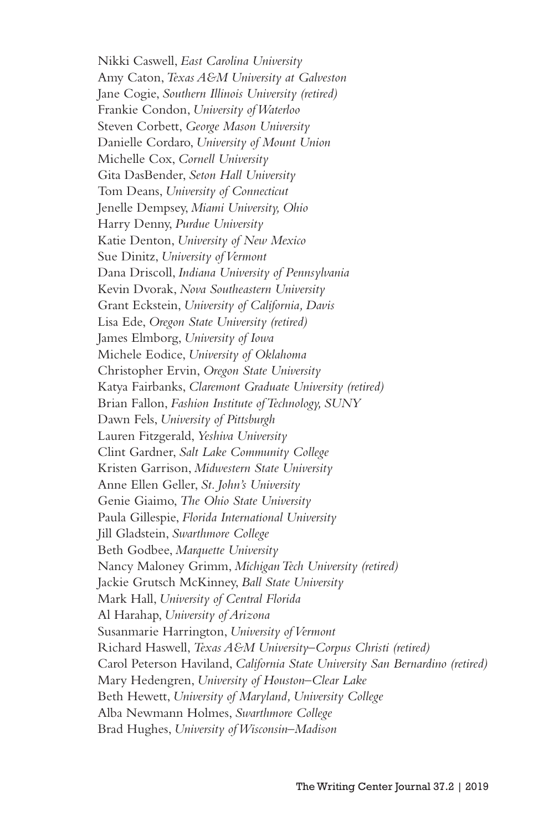Nikki Caswell, *East Carolina University* Amy Caton, *Texas A&M University at Galveston* Jane Cogie, *Southern Illinois University (retired)* Frankie Condon, *University of Waterloo* Steven Corbett, *George Mason University* Danielle Cordaro, *University of Mount Union* Michelle Cox, *Cornell University* Gita DasBender, *Seton Hall University* Tom Deans, *University of Connecticut* Jenelle Dempsey, *Miami University, Ohio* Harry Denny, *Purdue University* Katie Denton, *University of New Mexico* Sue Dinitz, *University of Vermont* Dana Driscoll, *Indiana University of Pennsylvania* Kevin Dvorak, *Nova Southeastern University* Grant Eckstein, *University of California, Davis* Lisa Ede, *Oregon State University (retired)* James Elmborg, *University of Iowa* Michele Eodice, *University of Oklahoma* Christopher Ervin, *Oregon State University* Katya Fairbanks, *Claremont Graduate University (retired)* Brian Fallon, *Fashion Institute of Technology, SUNY* Dawn Fels, *University of Pittsburgh* Lauren Fitzgerald, *Yeshiva University* Clint Gardner, *Salt Lake Community College* Kristen Garrison, *Midwestern State University* Anne Ellen Geller, *St. John's University* Genie Giaimo, *The Ohio State University* Paula Gillespie, *Florida International University* Jill Gladstein, *Swarthmore College* Beth Godbee, *Marquette University* Nancy Maloney Grimm, *Michigan Tech University (retired)* Jackie Grutsch McKinney, *Ball State University* Mark Hall, *University of Central Florida* Al Harahap, *University of Arizona* Susanmarie Harrington, *University of Vermont* Richard Haswell, *Texas A&M University–Corpus Christi (retired)* Carol Peterson Haviland, *California State University San Bernardino (retired)* Mary Hedengren, *University of Houston–Clear Lake* Beth Hewett, *University of Maryland, University College* Alba Newmann Holmes, *Swarthmore College* Brad Hughes, *University of Wisconsin–Madison*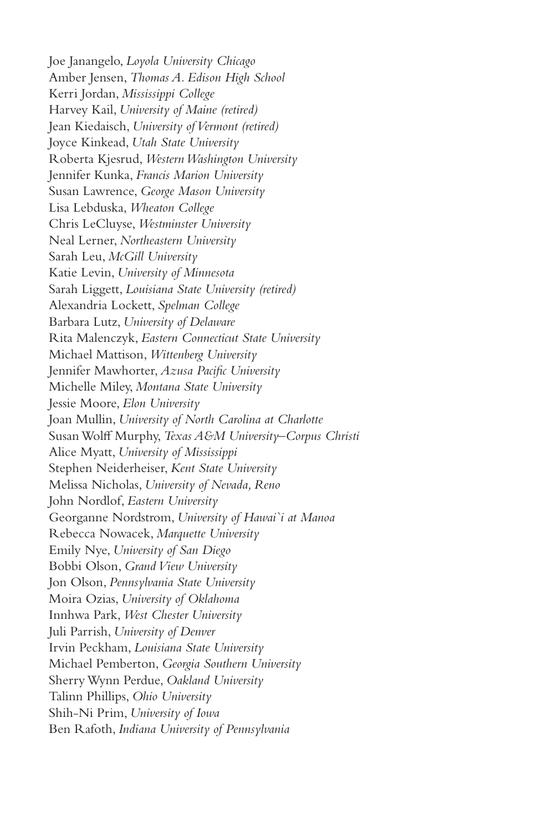Joe Janangelo, *Loyola University Chicago* Amber Jensen, *Thomas A. Edison High School* Kerri Jordan, *Mississippi College* Harvey Kail, *University of Maine (retired)* Jean Kiedaisch, *University of Vermont (retired)* Joyce Kinkead, *Utah State University* Roberta Kjesrud, *Western Washington University* Jennifer Kunka, *Francis Marion University* Susan Lawrence, *George Mason University* Lisa Lebduska, *Wheaton College* Chris LeCluyse, *Westminster University* Neal Lerner, *Northeastern University* Sarah Leu, *McGill University* Katie Levin, *University of Minnesota* Sarah Liggett, *Louisiana State University (retired)* Alexandria Lockett, *Spelman College* Barbara Lutz, *University of Delaware* Rita Malenczyk, *Eastern Connecticut State University* Michael Mattison, *Wittenberg University* Jennifer Mawhorter, *Azusa Pacific University* Michelle Miley, *Montana State University* Jessie Moore, *Elon University* Joan Mullin, *University of North Carolina at Charlotte* Susan Wolff Murphy, *Texas A&M University–Corpus Christi* Alice Myatt, *University of Mississippi* Stephen Neiderheiser, *Kent State University* Melissa Nicholas, *University of Nevada, Reno* John Nordlof, *Eastern University* Georganne Nordstrom, *University of Hawai`i at Manoa* Rebecca Nowacek, *Marquette University* Emily Nye, *University of San Diego* Bobbi Olson, *Grand View University* Jon Olson, *Pennsylvania State University* Moira Ozias, *University of Oklahoma* Innhwa Park, *West Chester University* Juli Parrish, *University of Denver* Irvin Peckham, *Louisiana State University* Michael Pemberton, *Georgia Southern University* Sherry Wynn Perdue, *Oakland University* Talinn Phillips, *Ohio University* Shih-Ni Prim, *University of Iowa* Ben Rafoth, *Indiana University of Pennsylvania*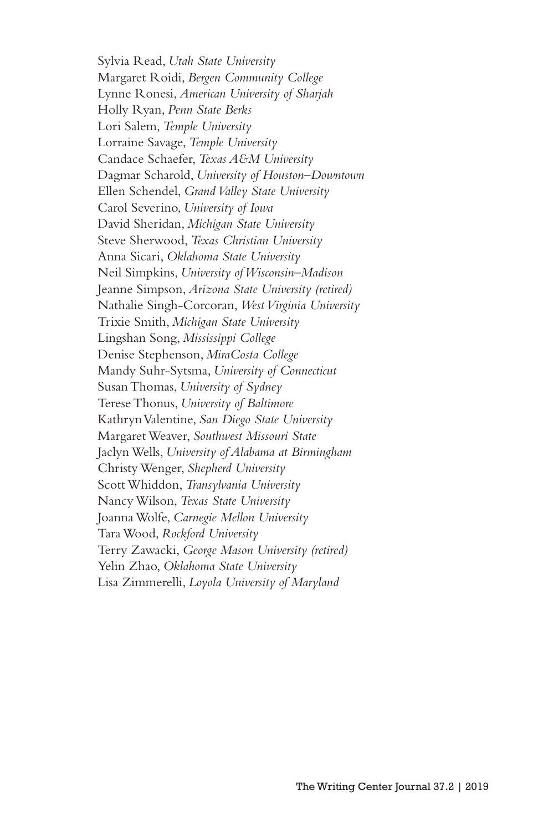Sylvia Read, *Utah State University* Margaret Roidi, *Bergen Community College* Lynne Ronesi, *American University of Sharjah* Holly Ryan, *Penn State Berks* Lori Salem, *Temple University* Lorraine Savage, *Temple University* Candace Schaefer, *Texas A&M University* Dagmar Scharold, *University of Houston–Downtown* Ellen Schendel, *Grand Valley State University* Carol Severino, *University of Iowa* David Sheridan, *Michigan State University* Steve Sherwood, *Texas Christian University* Anna Sicari, *Oklahoma State University* Neil Simpkins, *University of Wisconsin–Madison* Jeanne Simpson, *Arizona State University (retired)* Nathalie Singh-Corcoran, *West Virginia University* Trixie Smith, *Michigan State University* Lingshan Song, *Mississippi College* Denise Stephenson, *MiraCosta College* Mandy Suhr-Sytsma, *University of Connecticut* Susan Thomas, *University of Sydney* Terese Thonus, *University of Baltimore* Kathryn Valentine, *San Diego State University* Margaret Weaver, *Southwest Missouri State* Jaclyn Wells, *University of Alabama at Birmingham* Christy Wenger, *Shepherd University* Scott Whiddon, *Transylvania University* Nancy Wilson, *Texas State University* Joanna Wolfe, *Carnegie Mellon University* Tara Wood, *Rockford University* Terry Zawacki, *George Mason University (retired)* Yelin Zhao, *Oklahoma State University* Lisa Zimmerelli, *Loyola University of Maryland*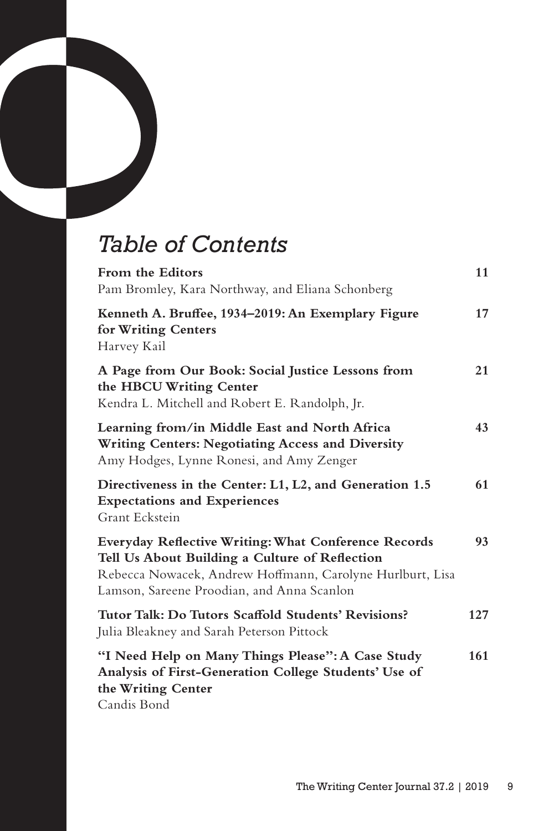# *Table of Contents*

| From the Editors<br>Pam Bromley, Kara Northway, and Eliana Schonberg                                                                                                                                              | 11  |
|-------------------------------------------------------------------------------------------------------------------------------------------------------------------------------------------------------------------|-----|
| Kenneth A. Bruffee, 1934-2019: An Exemplary Figure<br>for Writing Centers<br>Harvey Kail                                                                                                                          | 17  |
| A Page from Our Book: Social Justice Lessons from<br>the HBCU Writing Center<br>Kendra L. Mitchell and Robert E. Randolph, Jr.                                                                                    | 21  |
| Learning from/in Middle East and North Africa<br>Writing Centers: Negotiating Access and Diversity<br>Amy Hodges, Lynne Ronesi, and Amy Zenger                                                                    | 43  |
| Directiveness in the Center: L1, L2, and Generation 1.5<br><b>Expectations and Experiences</b><br>Grant Eckstein                                                                                                  | 61  |
| Everyday Reflective Writing: What Conference Records<br>Tell Us About Building a Culture of Reflection<br>Rebecca Nowacek, Andrew Hoffmann, Carolyne Hurlburt, Lisa<br>Lamson, Sareene Proodian, and Anna Scanlon | 93  |
| Tutor Talk: Do Tutors Scaffold Students' Revisions?<br>Julia Bleakney and Sarah Peterson Pittock                                                                                                                  | 127 |
| "I Need Help on Many Things Please": A Case Study<br>Analysis of First-Generation College Students' Use of<br>the Writing Center<br>Candis Bond                                                                   | 161 |